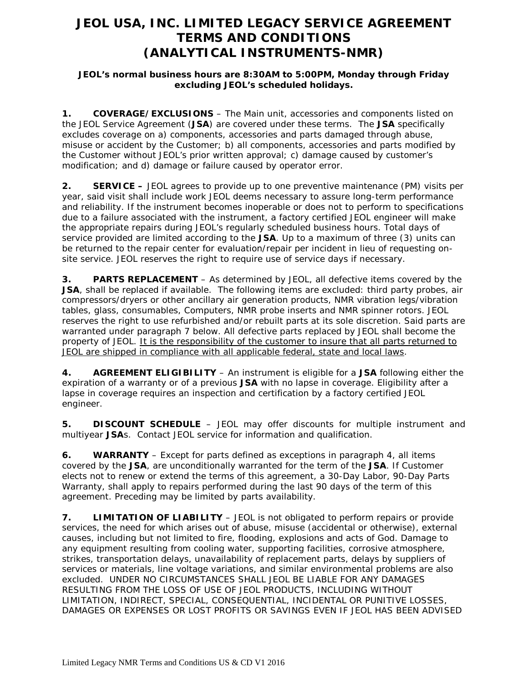# **JEOL USA, INC. LIMITED LEGACY SERVICE AGREEMENT TERMS AND CONDITIONS (ANALYTICAL INSTRUMENTS-NMR)**

### **JEOL's normal business hours are 8:30AM to 5:00PM, Monday through Friday excluding JEOL's scheduled holidays.**

**1. COVERAGE/EXCLUSIONS** – The Main unit, accessories and components listed on the JEOL Service Agreement (**JSA**) are covered under these terms. The **JSA** specifically excludes coverage on a) components, accessories and parts damaged through abuse, misuse or accident by the Customer; b) all components, accessories and parts modified by the Customer without JEOL's prior written approval; c) damage caused by customer's modification; and d) damage or failure caused by operator error.

**2. SERVICE –** JEOL agrees to provide up to one preventive maintenance (PM) visits per year, said visit shall include work JEOL deems necessary to assure long-term performance and reliability. If the instrument becomes inoperable or does not to perform to specifications due to a failure associated with the instrument, a factory certified JEOL engineer will make the appropriate repairs during JEOL's regularly scheduled business hours. Total days of service provided are limited according to the **JSA**. Up to a maximum of three (3) units can be returned to the repair center for evaluation/repair per incident in lieu of requesting onsite service. JEOL reserves the right to require use of service days if necessary.

**3. PARTS REPLACEMENT** – As determined by JEOL, all defective items covered by the **JSA**, shall be replaced if available. The following items are excluded: third party probes, air compressors/dryers or other ancillary air generation products, NMR vibration legs/vibration tables, glass, consumables, Computers, NMR probe inserts and NMR spinner rotors. JEOL reserves the right to use refurbished and/or rebuilt parts at its sole discretion. Said parts are warranted under paragraph 7 below. All defective parts replaced by JEOL shall become the property of JEOL. It is the responsibility of the customer to insure that all parts returned to JEOL are shipped in compliance with all applicable federal, state and local laws.

**4. AGREEMENT ELIGIBILITY** – An instrument is eligible for a **JSA** following either the expiration of a warranty or of a previous **JSA** with no lapse in coverage. Eligibility after a lapse in coverage requires an inspection and certification by a factory certified JEOL engineer.

**5. DISCOUNT SCHEDULE** – JEOL may offer discounts for multiple instrument and multiyear **JSA**s. Contact JEOL service for information and qualification.

**6. WARRANTY** – Except for parts defined as exceptions in paragraph 4, all items covered by the **JSA**, are unconditionally warranted for the term of the **JSA**. If Customer elects not to renew or extend the terms of this agreement, a 30-Day Labor, 90-Day Parts Warranty, shall apply to repairs performed during the last 90 days of the term of this agreement. Preceding may be limited by parts availability.

**7. LIMITATION OF LIABILITY** – JEOL is not obligated to perform repairs or provide services, the need for which arises out of abuse, misuse (accidental or otherwise), external causes, including but not limited to fire, flooding, explosions and acts of God. Damage to any equipment resulting from cooling water, supporting facilities, corrosive atmosphere, strikes, transportation delays, unavailability of replacement parts, delays by suppliers of services or materials, line voltage variations, and similar environmental problems are also excluded. UNDER NO CIRCUMSTANCES SHALL JEOL BE LIABLE FOR ANY DAMAGES RESULTING FROM THE LOSS OF USE OF JEOL PRODUCTS, INCLUDING WITHOUT LIMITATION, INDIRECT, SPECIAL, CONSEQUENTIAL, INCIDENTAL OR PUNITIVE LOSSES, DAMAGES OR EXPENSES OR LOST PROFITS OR SAVINGS EVEN IF JEOL HAS BEEN ADVISED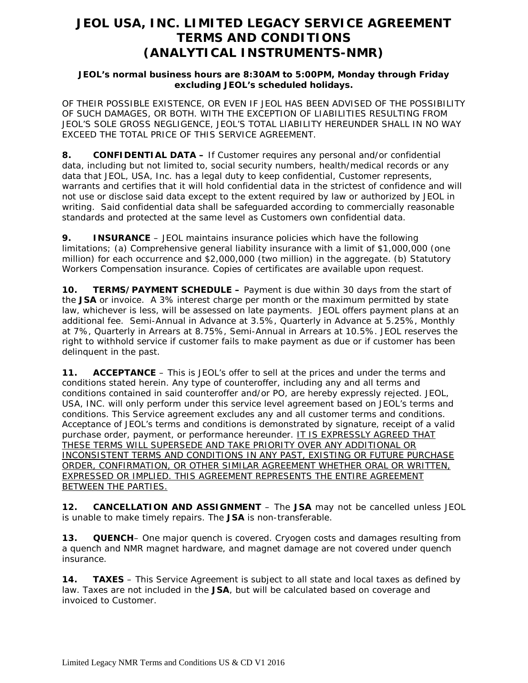# **JEOL USA, INC. LIMITED LEGACY SERVICE AGREEMENT TERMS AND CONDITIONS (ANALYTICAL INSTRUMENTS-NMR)**

### **JEOL's normal business hours are 8:30AM to 5:00PM, Monday through Friday excluding JEOL's scheduled holidays.**

OF THEIR POSSIBLE EXISTENCE, OR EVEN IF JEOL HAS BEEN ADVISED OF THE POSSIBILITY OF SUCH DAMAGES, OR BOTH. WITH THE EXCEPTION OF LIABILITIES RESULTING FROM JEOL'S SOLE GROSS NEGLIGENCE, JEOL'S TOTAL LIABILITY HEREUNDER SHALL IN NO WAY EXCEED THE TOTAL PRICE OF THIS SERVICE AGREEMENT.

**8. CONFIDENTIAL DATA –** If Customer requires any personal and/or confidential data, including but not limited to, social security numbers, health/medical records or any data that JEOL, USA, Inc. has a legal duty to keep confidential, Customer represents, warrants and certifies that it will hold confidential data in the strictest of confidence and will not use or disclose said data except to the extent required by law or authorized by JEOL in writing. Said confidential data shall be safeguarded according to commercially reasonable standards and protected at the same level as Customers own confidential data.

**9. INSURANCE** – JEOL maintains insurance policies which have the following limitations; (a) Comprehensive general liability insurance with a limit of \$1,000,000 (one million) for each occurrence and \$2,000,000 (two million) in the aggregate. (b) Statutory Workers Compensation insurance. Copies of certificates are available upon request.

**10. TERMS/PAYMENT SCHEDULE –** Payment is due within 30 days from the start of the **JSA** or invoice. A 3% interest charge per month or the maximum permitted by state law, whichever is less, will be assessed on late payments. JEOL offers payment plans at an additional fee. Semi-Annual in Advance at 3.5%, Quarterly in Advance at 5.25%, Monthly at 7%, Quarterly in Arrears at 8.75%, Semi-Annual in Arrears at 10.5%. JEOL reserves the right to withhold service if customer fails to make payment as due or if customer has been delinquent in the past.

**11. ACCEPTANCE** – This is JEOL's offer to sell at the prices and under the terms and conditions stated herein. Any type of counteroffer, including any and all terms and conditions contained in said counteroffer and/or PO, are hereby expressly rejected. JEOL, USA, INC. will only perform under this service level agreement based on JEOL's terms and conditions. This Service agreement excludes any and all customer terms and conditions. Acceptance of JEOL's terms and conditions is demonstrated by signature, receipt of a valid purchase order, payment, or performance hereunder. IT IS EXPRESSLY AGREED THAT THESE TERMS WILL SUPERSEDE AND TAKE PRIORITY OVER ANY ADDITIONAL OR INCONSISTENT TERMS AND CONDITIONS IN ANY PAST, EXISTING OR FUTURE PURCHASE ORDER, CONFIRMATION, OR OTHER SIMILAR AGREEMENT WHETHER ORAL OR WRITTEN, EXPRESSED OR IMPLIED. THIS AGREEMENT REPRESENTS THE ENTIRE AGREEMENT BETWEEN THE PARTIES.

**12. CANCELLATION AND ASSIGNMENT** – The **JSA** may not be cancelled unless JEOL is unable to make timely repairs. The **JSA** is non-transferable.

**13. QUENCH**– One major quench is covered. Cryogen costs and damages resulting from a quench and NMR magnet hardware, and magnet damage are not covered under quench insurance.

**14. TAXES** – This Service Agreement is subject to all state and local taxes as defined by law. Taxes are not included in the **JSA**, but will be calculated based on coverage and invoiced to Customer.